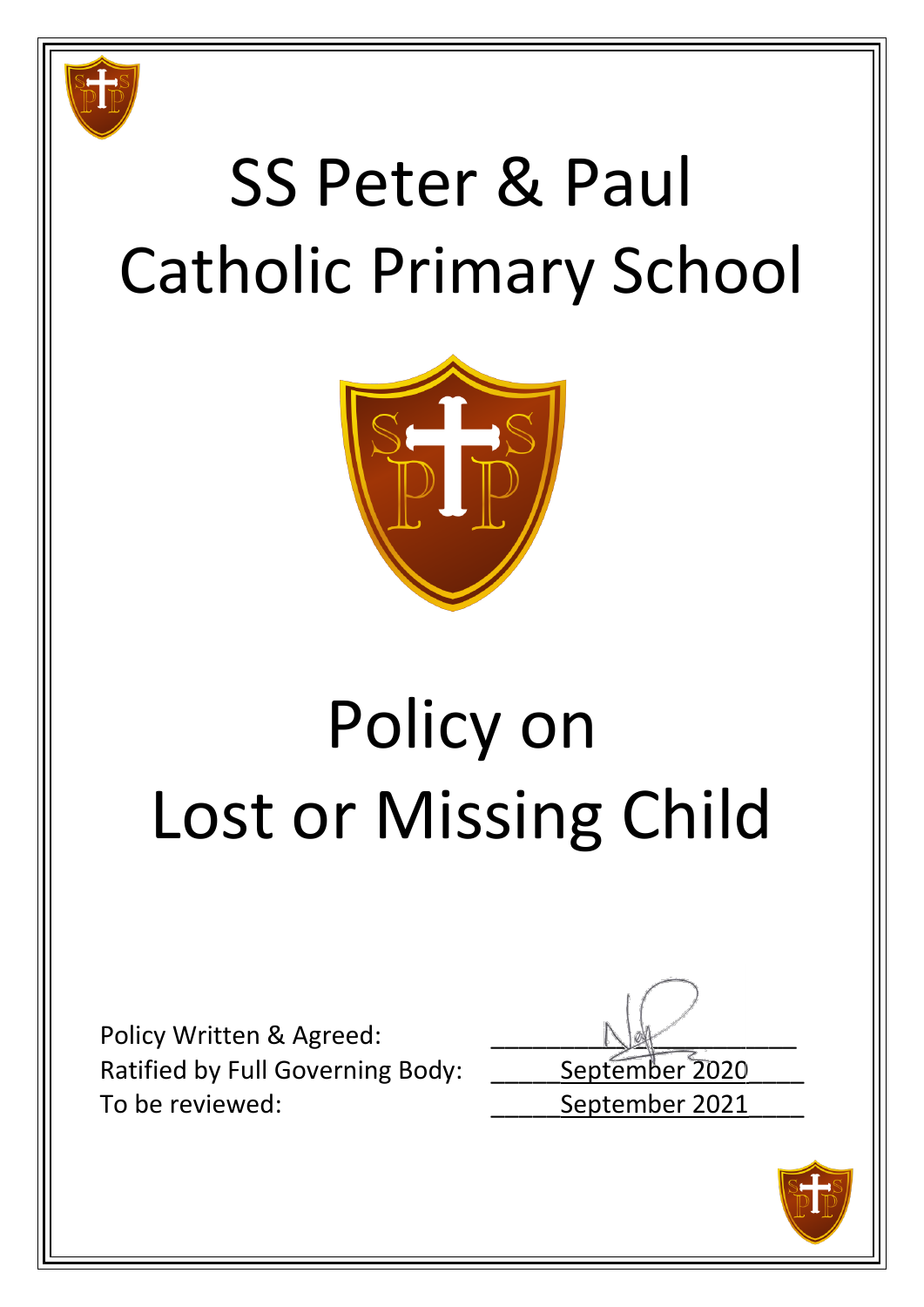

## SS Peter & Paul Catholic Primary School



## Policy on Lost or Missing Child

Policy Written & Agreed: Ratified by Full Governing Body: \_\_\_\_\_\_ September 2020 To be reviewed: To be reviewed:

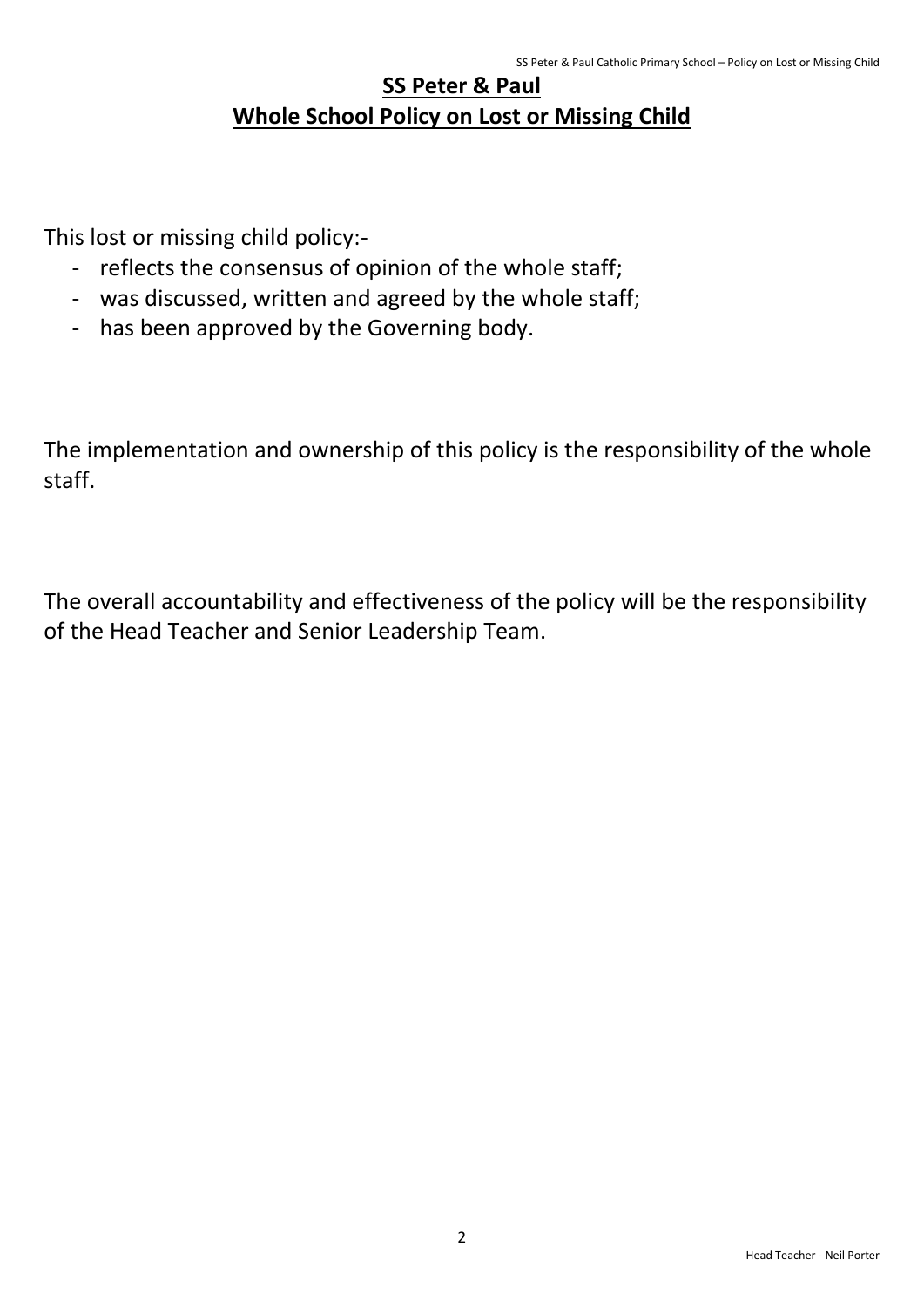## **SS Peter & Paul Whole School Policy on Lost or Missing Child**

This lost or missing child policy:-

- reflects the consensus of opinion of the whole staff;
- was discussed, written and agreed by the whole staff;
- has been approved by the Governing body.

The implementation and ownership of this policy is the responsibility of the whole staff.

The overall accountability and effectiveness of the policy will be the responsibility of the Head Teacher and Senior Leadership Team.